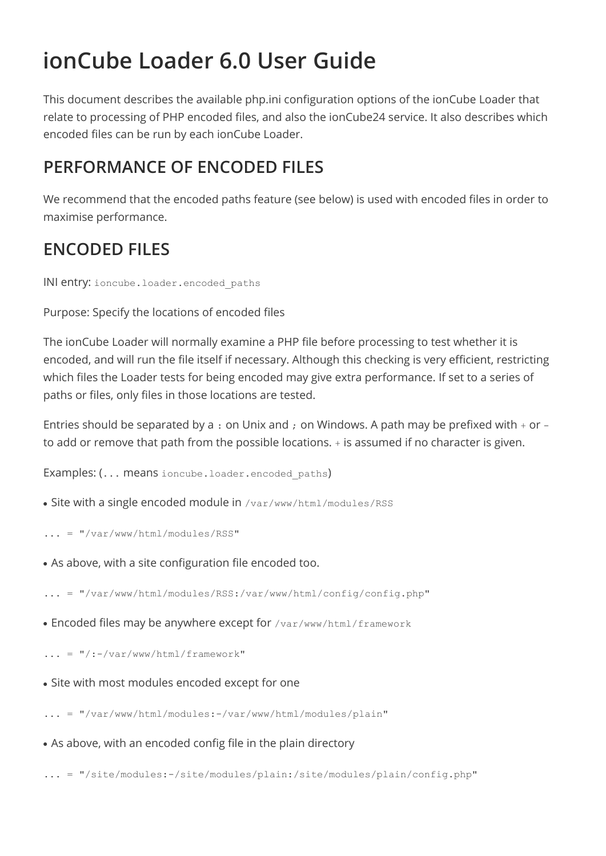# **ionCube Loader 6.0 User Guide**

This document describes the available php.ini configuration options of the ionCube Loader that relate to processing of PHP encoded files, and also the ionCube24 service. It also describes which encoded files can be run by each ionCube Loader.

## **PERFORMANCE OF ENCODED FILES**

We recommend that the encoded paths feature (see below) is used with encoded files in order to maximise performance.

## **ENCODED FILES**

INI entry: ioncube.loader.encoded\_paths

Purpose: Specify the locations of encoded files

The ionCube Loader will normally examine a PHP file before processing to test whether it is encoded, and will run the file itself if necessary. Although this checking is very efficient, restricting which files the Loader tests for being encoded may give extra performance. If set to a series of paths or files, only files in those locations are tested.

Entries should be separated by a : on Unix and ; on Windows. A path may be prefixed with + or to add or remove that path from the possible locations. + is assumed if no character is given.

Examples: (... means ioncube.loader.encoded paths)

- Site with a single encoded module in /var/www/html/modules/RSS
- $\ldots$  = "/var/www/html/modules/RSS"
- As above, with a site configuration file encoded too.

... = "/var/www/html/modules/RSS:/var/www/html/config/config.php"

• Encoded files may be anywhere except for /var/www/html/framework

 $\ldots$  = "/:-/var/www/html/framework"

- Site with most modules encoded except for one
- ... = "/var/www/html/modules:-/var/www/html/modules/plain"
- As above, with an encoded config file in the plain directory

... = "/site/modules:-/site/modules/plain:/site/modules/plain/config.php"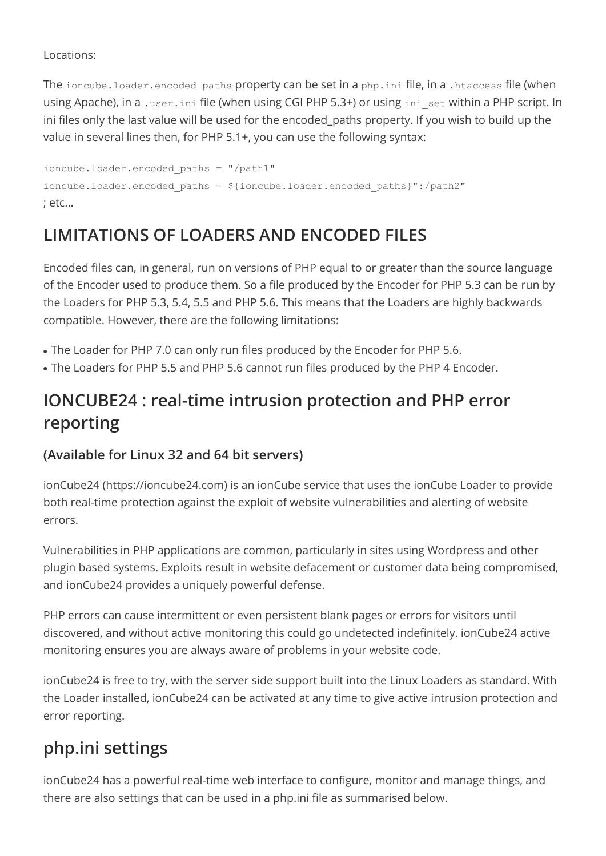### Locations:

The ioncube. loader.encoded paths property can be set in a php. ini file, in a .htaccess file (when using Apache), in a .user.ini file (when using CGI PHP 5.3+) or using ini set within a PHP script. In ini files only the last value will be used for the encoded\_paths property. If you wish to build up the value in several lines then, for PHP 5.1+, you can use the following syntax:

ioncube.loader.encoded\_paths = "/path1" ioncube.loader.encoded\_paths = \${ioncube.loader.encoded\_paths}":/path2" ; etc...

## **LIMITATIONS OF LOADERS AND ENCODED FILES**

Encoded files can, in general, run on versions of PHP equal to or greater than the source language of the Encoder used to produce them. So a file produced by the Encoder for PHP 5.3 can be run by the Loaders for PHP 5.3, 5.4, 5.5 and PHP 5.6. This means that the Loaders are highly backwards compatible. However, there are the following limitations:

- The Loader for PHP 7.0 can only run files produced by the Encoder for PHP 5.6.
- The Loaders for PHP 5.5 and PHP 5.6 cannot run files produced by the PHP 4 Encoder.

## **IONCUBE24 : real-time intrusion protection and PHP error reporting**

### **(Available for Linux 32 and 64 bit servers)**

ionCube24 (https://ioncube24.com) is an ionCube service that uses the ionCube Loader to provide both real-time protection against the exploit of website vulnerabilities and alerting of website errors.

Vulnerabilities in PHP applications are common, particularly in sites using Wordpress and other plugin based systems. Exploits result in website defacement or customer data being compromised, and ionCube24 provides a uniquely powerful defense.

PHP errors can cause intermittent or even persistent blank pages or errors for visitors until discovered, and without active monitoring this could go undetected indefinitely. ionCube24 active monitoring ensures you are always aware of problems in your website code.

ionCube24 is free to try, with the server side support built into the Linux Loaders as standard. With the Loader installed, ionCube24 can be activated at any time to give active intrusion protection and error reporting.

## **php.ini settings**

ionCube24 has a powerful real-time web interface to configure, monitor and manage things, and there are also settings that can be used in a php.ini file as summarised below.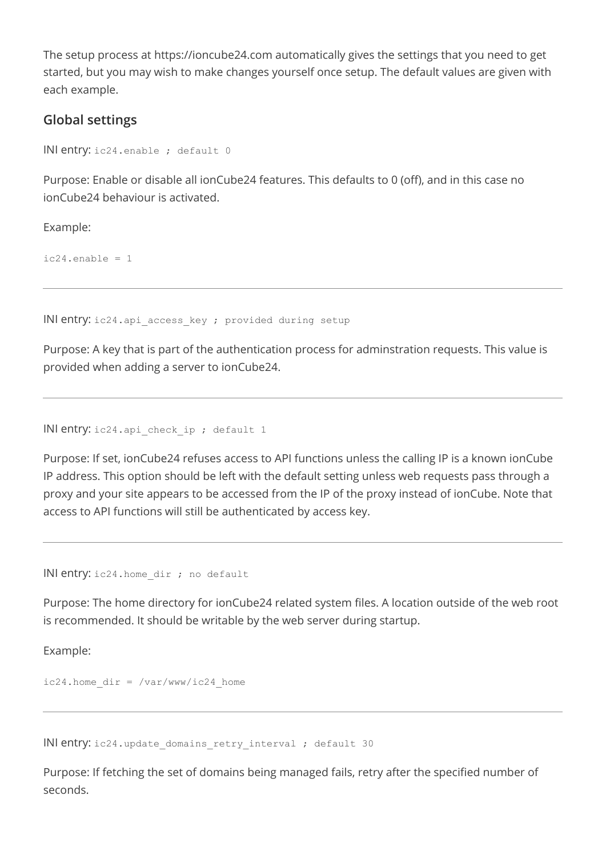The setup process at https://ioncube24.com automatically gives the settings that you need to get started, but you may wish to make changes yourself once setup. The default values are given with each example.

### **Global settings**

INI entry: ic24.enable ; default 0

Purpose: Enable or disable all ionCube24 features. This defaults to 0 (off), and in this case no ionCube24 behaviour is activated.

Example:

 $ic24.\nendele = 1$ 

INI entry: ic24.api access key ; provided during setup

Purpose: A key that is part of the authentication process for adminstration requests. This value is provided when adding a server to ionCube24.

INI entry: ic24.api check ip ; default 1

Purpose: If set, ionCube24 refuses access to API functions unless the calling IP is a known ionCube IP address. This option should be left with the default setting unless web requests pass through a proxy and your site appears to be accessed from the IP of the proxy instead of ionCube. Note that access to API functions will still be authenticated by access key.

INI entry: ic24.home dir ; no default

Purpose: The home directory for ionCube24 related system files. A location outside of the web root is recommended. It should be writable by the web server during startup.

Example:

 $ic24.$ home  $dir = /var/www/ic24$  home

INI entry: ic24.update domains retry interval ; default 30

Purpose: If fetching the set of domains being managed fails, retry after the specified number of seconds.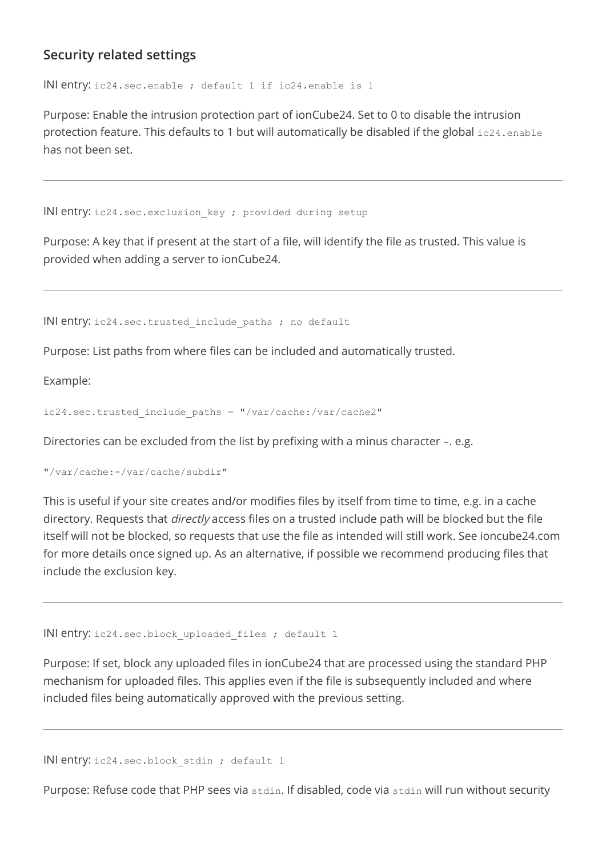### **Security related settings**

INI entry: ic24.sec.enable ; default 1 if ic24.enable is 1

Purpose: Enable the intrusion protection part of ionCube24. Set to 0 to disable the intrusion protection feature. This defaults to 1 but will automatically be disabled if the global ic24.enable has not been set.

INI entry: ic24.sec.exclusion key ; provided during setup

Purpose: A key that if present at the start of a file, will identify the file as trusted. This value is provided when adding a server to ionCube24.

INI entry: ic24.sec.trusted include paths ; no default

Purpose: List paths from where files can be included and automatically trusted.

Example:

ic24.sec.trusted\_include\_paths = "/var/cache:/var/cache2"

Directories can be excluded from the list by prefixing with a minus character -. e.g.

"/var/cache:-/var/cache/subdir"

This is useful if your site creates and/or modifies files by itself from time to time, e.g. in a cache directory. Requests that *directly* access files on a trusted include path will be blocked but the file itself will not be blocked, so requests that use the file as intended will still work. See ioncube24.com for more details once signed up. As an alternative, if possible we recommend producing files that include the exclusion key.

INI entry: ic24.sec.block uploaded files ; default 1

Purpose: If set, block any uploaded files in ionCube24 that are processed using the standard PHP mechanism for uploaded files. This applies even if the file is subsequently included and where included files being automatically approved with the previous setting.

INI entry: ic24.sec.block stdin ; default 1

Purpose: Refuse code that PHP sees via stdin. If disabled, code via stdin will run without security